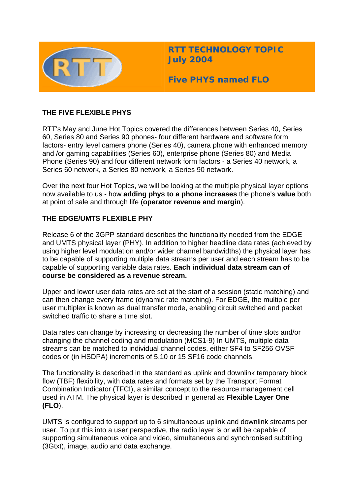

**RTT TECHNOLOGY TOPIC July 2004**

**Five PHYS named FLO** 

## **THE FIVE FLEXIBLE PHYS**

RTT's May and June Hot Topics covered the differences between Series 40, Series 60, Series 80 and Series 90 phones- four different hardware and software form factors- entry level camera phone (Series 40), camera phone with enhanced memory and /or gaming capabilities (Series 60), enterprise phone (Series 80) and Media Phone (Series 90) and four different network form factors - a Series 40 network, a Series 60 network, a Series 80 network, a Series 90 network.

Over the next four Hot Topics, we will be looking at the multiple physical layer options now available to us - how **adding phys to a phone increases** the phone's **value** both at point of sale and through life (**operator revenue and margin**).

## **THE EDGE/UMTS FLEXIBLE PHY**

Release 6 of the 3GPP standard describes the functionality needed from the EDGE and UMTS physical layer (PHY). In addition to higher headline data rates (achieved by using higher level modulation and/or wider channel bandwidths) the physical layer has to be capable of supporting multiple data streams per user and each stream has to be capable of supporting variable data rates. **Each individual data stream can of course be considered as a revenue stream.** 

Upper and lower user data rates are set at the start of a session (static matching) and can then change every frame (dynamic rate matching). For EDGE, the multiple per user multiplex is known as dual transfer mode, enabling circuit switched and packet switched traffic to share a time slot.

Data rates can change by increasing or decreasing the number of time slots and/or changing the channel coding and modulation (MCS1-9) In UMTS, multiple data streams can be matched to individual channel codes, either SF4 to SF256 OVSF codes or (in HSDPA) increments of 5,10 or 15 SF16 code channels.

The functionality is described in the standard as uplink and downlink temporary block flow (TBF) flexibility, with data rates and formats set by the Transport Format Combination Indicator (TFCI), a similar concept to the resource management cell used in ATM. The physical layer is described in general as **Flexible Layer One (FLO**).

UMTS is configured to support up to 6 simultaneous uplink and downlink streams per user. To put this into a user perspective, the radio layer is or will be capable of supporting simultaneous voice and video, simultaneous and synchronised subtitling (3Gtxt), image, audio and data exchange.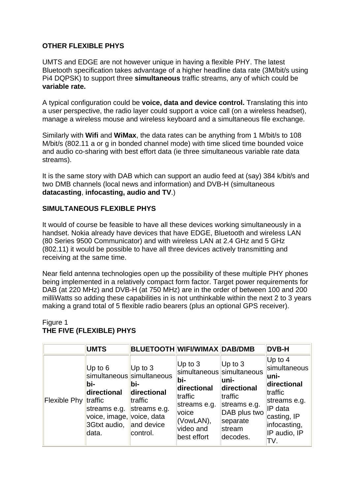### **OTHER FLEXIBLE PHYS**

UMTS and EDGE are not however unique in having a flexible PHY. The latest Bluetooth specification takes advantage of a higher headline data rate (3M/bit/s using Pi4 DQPSK) to support three **simultaneous** traffic streams, any of which could be **variable rate.**

A typical configuration could be **voice, data and device control.** Translating this into a user perspective, the radio layer could support a voice call (on a wireless headset), manage a wireless mouse and wireless keyboard and a simultaneous file exchange.

Similarly with **Wifi** and **WiMax**, the data rates can be anything from 1 M/bit/s to 108 M/bit/s (802.11 a or g in bonded channel mode) with time sliced time bounded voice and audio co-sharing with best effort data (ie three simultaneous variable rate data streams).

It is the same story with DAB which can support an audio feed at (say) 384 k/bit/s and two DMB channels (local news and information) and DVB-H (simultaneous **datacasting**, **infocasting, audio and TV**.)

#### **SIMULTANEOUS FLEXIBLE PHYS**

It would of course be feasible to have all these devices working simultaneously in a handset. Nokia already have devices that have EDGE, Bluetooth and wireless LAN (80 Series 9500 Communicator) and with wireless LAN at 2.4 GHz and 5 GHz (802.11) it would be possible to have all three devices actively transmitting and receiving at the same time.

Near field antenna technologies open up the possibility of these multiple PHY phones being implemented in a relatively compact form factor. Target power requirements for DAB (at 220 MHz) and DVB-H (at 750 MHz) are in the order of between 100 and 200 milliWatts so adding these capabilities in is not unthinkable within the next 2 to 3 years making a grand total of 5 flexible radio bearers (plus an optional GPS receiver).

### Figure 1 **THE FIVE (FLEXIBLE) PHYS**

|                      | <b>UMTS</b>                                                                                | <b>BLUETOOTH WIFI/WIMAX DAB/DMB</b>                                                                                              |                                                                                                              |                                                                                                                                             | <b>DVB-H</b>                                                                                                                                  |
|----------------------|--------------------------------------------------------------------------------------------|----------------------------------------------------------------------------------------------------------------------------------|--------------------------------------------------------------------------------------------------------------|---------------------------------------------------------------------------------------------------------------------------------------------|-----------------------------------------------------------------------------------------------------------------------------------------------|
| Flexible Phy traffic | Up to $6$<br>lbi-<br>directional<br>streams e.g.<br>voice, image,<br>3Gtxt audio,<br>data. | Up to $3$<br>simultaneous simultaneous<br>bi-<br>directional<br>traffic<br>streams e.g.<br>voice, data<br>and device<br>control. | Up to $3$<br>bi-<br>directional<br>traffic<br>streams e.g.<br>voice<br>(VowLAN),<br>video and<br>best effort | Up to $3$<br>simultaneous simultaneous<br>luni-<br>directional<br>traffic<br>streams e.g.<br>DAB plus two<br>separate<br>stream<br>decodes. | Up to $4$<br>simultaneous<br>luni-<br>directional<br>traffic<br>streams e.g.<br>IP data<br>casting, IP<br>infocasting,<br>IP audio, IP<br>TV. |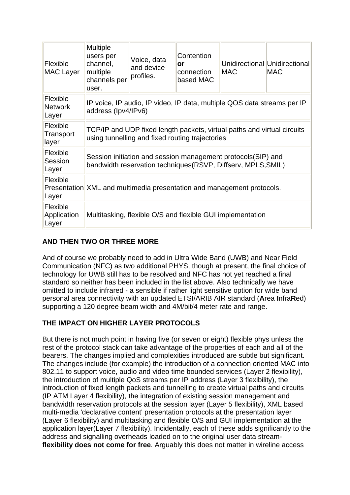| $ F $ exible<br><b>MAC Layer</b>    | <b>Multiple</b><br>users per<br>channel,<br>multiple<br>channels per<br>user.                                                  | Voice, data<br>and device<br>profiles. | Contention<br>or<br>connection<br>based MAC | <b>MAC</b> | Unidirectional Unidirectional<br><b>MAC</b> |  |  |  |
|-------------------------------------|--------------------------------------------------------------------------------------------------------------------------------|----------------------------------------|---------------------------------------------|------------|---------------------------------------------|--|--|--|
| Flexible<br><b>Network</b><br>Layer | IP voice, IP audio, IP video, IP data, multiple QOS data streams per IP<br>address (Ipv4/IPv6)                                 |                                        |                                             |            |                                             |  |  |  |
| Flexible<br>Transport<br>layer      | TCP/IP and UDP fixed length packets, virtual paths and virtual circuits<br>using tunnelling and fixed routing trajectories     |                                        |                                             |            |                                             |  |  |  |
| Flexible<br>Session<br>Layer        | Session initiation and session management protocols (SIP) and<br>bandwidth reservation techniques (RSVP, Diffserv, MPLS, SMIL) |                                        |                                             |            |                                             |  |  |  |
| Flexible<br>Layer                   | Presentation XML and multimedia presentation and management protocols.                                                         |                                        |                                             |            |                                             |  |  |  |
| Flexible<br>Application<br>Layer    | Multitasking, flexible O/S and flexible GUI implementation                                                                     |                                        |                                             |            |                                             |  |  |  |

# **AND THEN TWO OR THREE MORE**

And of course we probably need to add in Ultra Wide Band (UWB) and Near Field Communication (NFC) as two additional PHYS, though at present, the final choice of technology for UWB still has to be resolved and NFC has not yet reached a final standard so neither has been included in the list above. Also technically we have omitted to include infrared - a sensible if rather light sensitive option for wide band personal area connectivity with an updated ETSI/ARIB AIR standard (**A**rea **I**nfra**R**ed) supporting a 120 degree beam width and 4M/bit/4 meter rate and range.

# **THE IMPACT ON HIGHER LAYER PROTOCOLS**

But there is not much point in having five (or seven or eight) flexible phys unless the rest of the protocol stack can take advantage of the properties of each and all of the bearers. The changes implied and complexities introduced are subtle but significant. The changes include (for example) the introduction of a connection oriented MAC into 802.11 to support voice, audio and video time bounded services (Layer 2 flexibility), the introduction of multiple QoS streams per IP address (Layer 3 flexibility), the introduction of fixed length packets and tunnelling to create virtual paths and circuits (IP ATM Layer 4 flexibility), the integration of existing session management and bandwidth reservation protocols at the session layer (Layer 5 flexibility), XML based multi-media 'declarative content' presentation protocols at the presentation layer (Layer 6 flexibility) and multitasking and flexible O/S and GUI implementation at the application layer(Layer 7 flexibility). Incidentally, each of these adds significantly to the address and signalling overheads loaded on to the original user data stream**flexibility does not come for free**. Arguably this does not matter in wireline access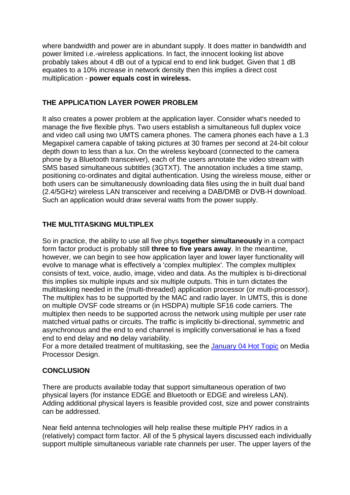where bandwidth and power are in abundant supply. It does matter in bandwidth and power limited i.e.-wireless applications. In fact, the innocent looking list above probably takes about 4 dB out of a typical end to end link budget. Given that 1 dB equates to a 10% increase in network density then this implies a direct cost multiplication - **power equals cost in wireless.**

## **THE APPLICATION LAYER POWER PROBLEM**

It also creates a power problem at the application layer. Consider what's needed to manage the five flexible phys. Two users establish a simultaneous full duplex voice and video call using two UMTS camera phones. The camera phones each have a 1.3 Megapixel camera capable of taking pictures at 30 frames per second at 24-bit colour depth down to less than a lux. On the wireless keyboard (connected to the camera phone by a Bluetooth transceiver), each of the users annotate the video stream with SMS based simultaneous subtitles (3GTXT). The annotation includes a time stamp, positioning co-ordinates and digital authentication. Using the wireless mouse, either or both users can be simultaneously downloading data files using the in built dual band (2.4/5GHz) wireless LAN transceiver and receiving a DAB/DMB or DVB-H download. Such an application would draw several watts from the power supply.

## **THE MULTITASKING MULTIPLEX**

So in practice, the ability to use all five phys **together simultaneously** in a compact form factor product is probably still **three to five years away**. In the meantime, however, we can begin to see how application layer and lower layer functionality will evolve to manage what is effectively a 'complex multiplex'. The complex multiplex consists of text, voice, audio, image, video and data. As the multiplex is bi-directional this implies six multiple inputs and six multiple outputs. This in turn dictates the multitasking needed in the (multi-threaded) application processor (or multi-processor). The multiplex has to be supported by the MAC and radio layer. In UMTS, this is done on multiple OVSF code streams or (in HSDPA) multiple SF16 code carriers. The multiplex then needs to be supported across the network using multiple per user rate matched virtual paths or circuits. The traffic is implicitly bi-directional, symmetric and asynchronous and the end to end channel is implicitly conversational ie has a fixed end to end delay and **no** delay variability.

For a more detailed treatment of multitasking, see the [January 04 Hot Topic](http://www.rttonline.com/hottop_frame.htm) on Media Processor Design.

## **CONCLUSION**

There are products available today that support simultaneous operation of two physical layers (for instance EDGE and Bluetooth or EDGE and wireless LAN). Adding additional physical layers is feasible provided cost, size and power constraints can be addressed.

Near field antenna technologies will help realise these multiple PHY radios in a (relatively) compact form factor. All of the 5 physical layers discussed each individually support multiple simultaneous variable rate channels per user. The upper layers of the